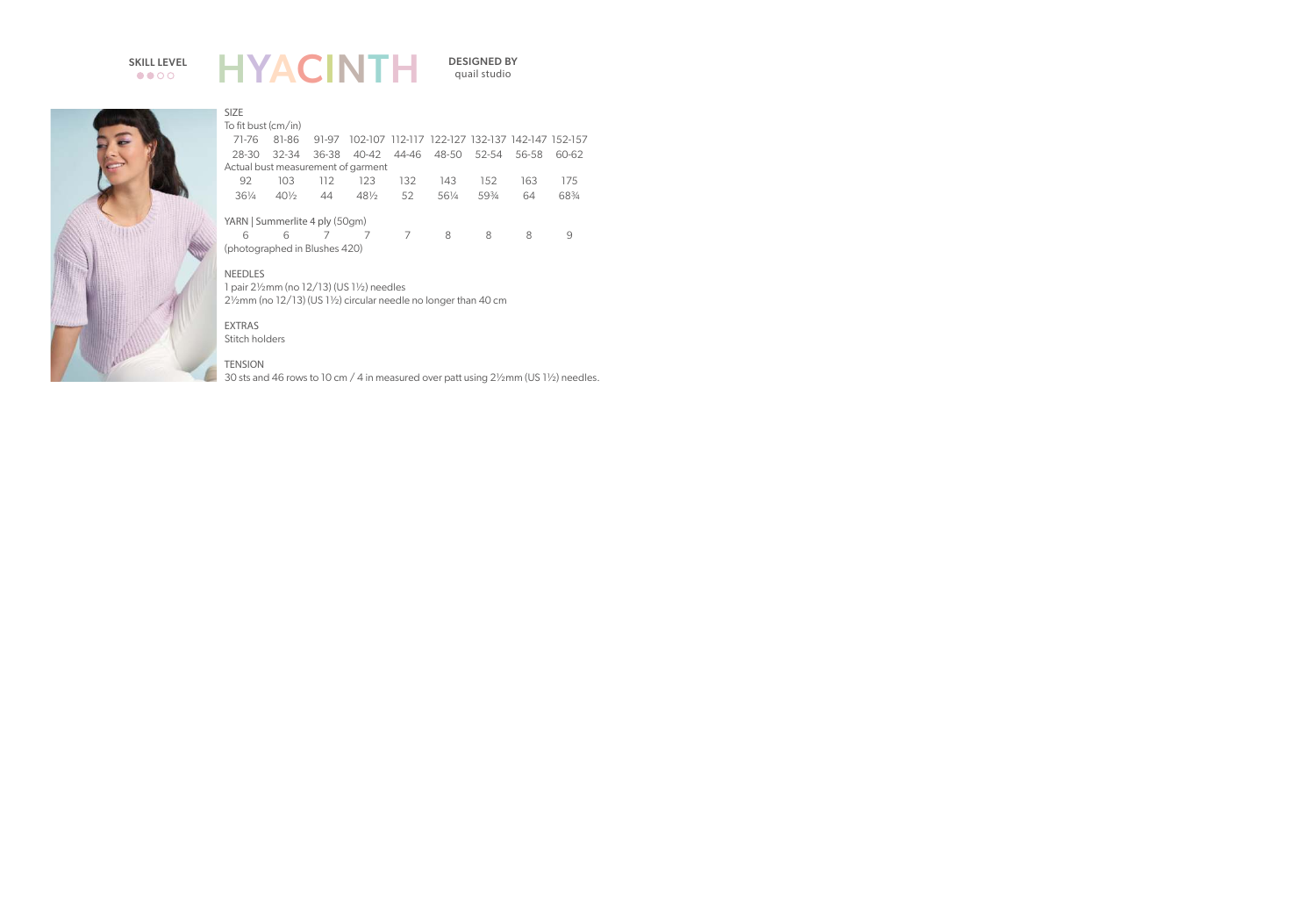# $\bullet$   $\bullet$   $\circ$   $\circ$

### HYACINTH SKILL LEVEL **LIVA CINTL** DESIGNED BY

quail studio



#### SIZE

To fit bust (cm/in)

|                                |     |     | 71-76 81-86 91-97 102-107 112-117 122-127 132-137 142-147 152-157 |  |         |       |     |       |  |  |
|--------------------------------|-----|-----|-------------------------------------------------------------------|--|---------|-------|-----|-------|--|--|
|                                |     |     | 28-30 32-34 36-38 40-42 44-46 48-50 52-54 56-58 60-62             |  |         |       |     |       |  |  |
|                                |     |     | Actual bust measurement of garment                                |  |         |       |     |       |  |  |
| 92.                            | 103 | 112 | 123 132                                                           |  | 143 152 |       | 163 | 175   |  |  |
| $36\%$                         | 40½ | -44 | 48½ 52                                                            |  | 56½     | 593⁄4 | 64  | 683/4 |  |  |
| YARN   Summerlite 4 ply (50gm) |     |     |                                                                   |  |         |       |     |       |  |  |
|                                |     |     |                                                                   |  |         |       |     |       |  |  |

 6 6 7 7 7 8 8 8 9 (photographed in Blushes 420)

NEEDLES

1 pair 2½mm (no 12/13) (US 1½) needles 2½mm (no 12/13) (US 1½) circular needle no longer than 40 cm

EXTRAS Stitch holders

#### **TENSION**

30 sts and 46 rows to 10 cm / 4 in measured over patt using 2½mm (US 1½) needles.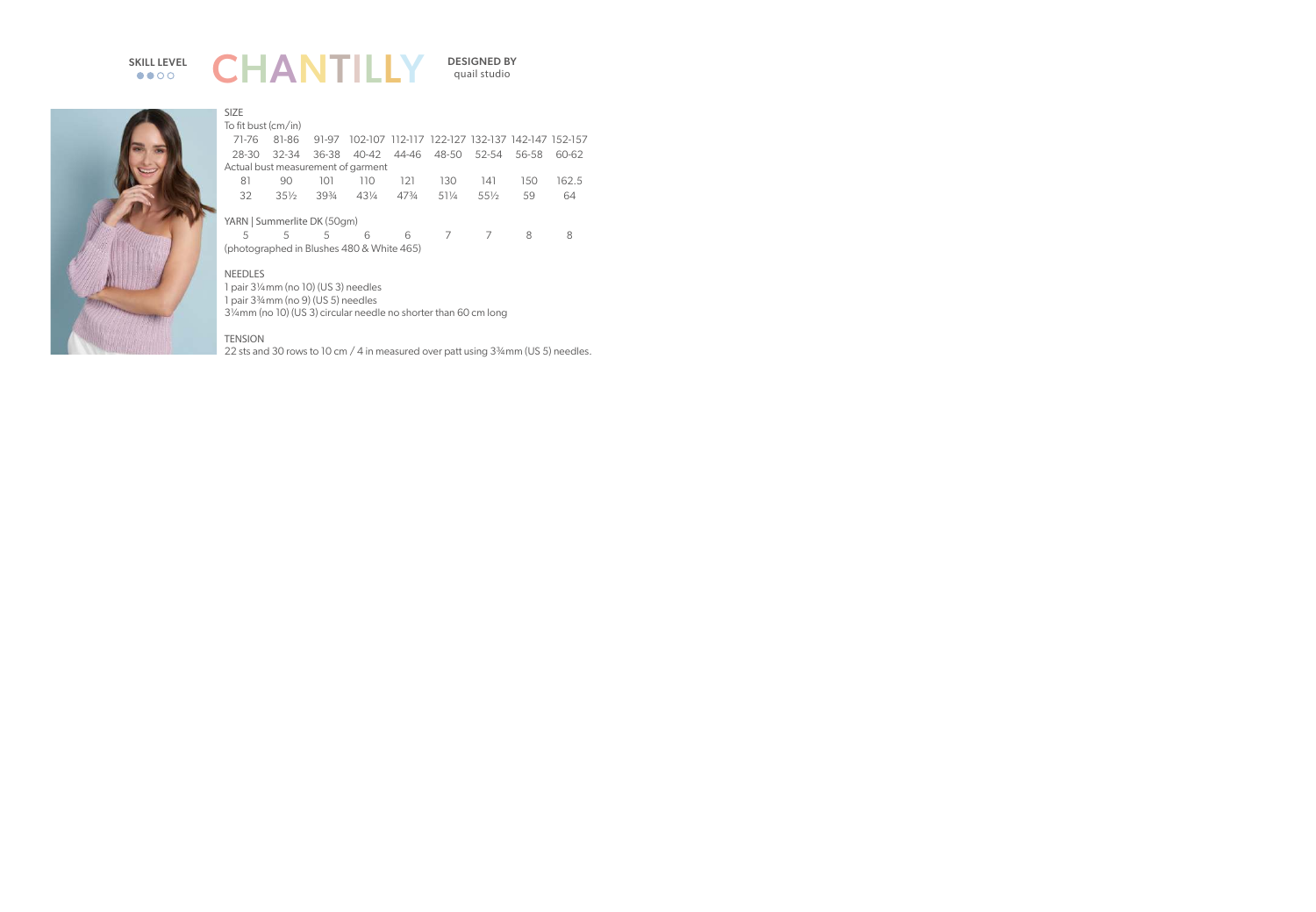# $\bullet\bullet\circ\circ$



quail studio



| ـا ـا لـا                                 |           |                 |         |                 |                                                 |        |       |       |  |
|-------------------------------------------|-----------|-----------------|---------|-----------------|-------------------------------------------------|--------|-------|-------|--|
| To fit bust (cm/in)                       |           |                 |         |                 |                                                 |        |       |       |  |
| 71-76                                     | 81-86     | 91-97           |         |                 | 102-107 112-117 122-127 132-137 142-147 152-157 |        |       |       |  |
| 28-30                                     | $32 - 34$ | 36-38           | 40-42   | 44-46           | 48-50                                           | 52-54  | 56-58 | 60-62 |  |
| Actual bust measurement of garment        |           |                 |         |                 |                                                 |        |       |       |  |
| 81                                        | 90        | 101             | 110     | 121             | 130                                             | 141    | 150   | 162.5 |  |
| 32                                        | $35\%$    | $39\frac{3}{4}$ | $4.3\%$ | $47\frac{3}{4}$ | 511/4                                           | $55\%$ | 59    | 64    |  |
| YARN   Summerlite DK (50gm)               |           |                 |         |                 |                                                 |        |       |       |  |
| 5                                         | 5         | 5               | 6       | 6               | 7                                               |        | 8     | 8     |  |
| (photographed in Blushes 480 & White 465) |           |                 |         |                 |                                                 |        |       |       |  |
| <b>NEEDLES</b>                            |           |                 |         |                 |                                                 |        |       |       |  |

1 pair 3¼mm (no 10) (US 3) needles 1 pair 3¾mm (no 9) (US 5) needles 3¼mm (no 10) (US 3) circular needle no shorter than 60 cm long

#### **TENSION**

SIZE

22 sts and 30 rows to 10 cm / 4 in measured over patt using 3<sup>3</sup>/4 mm (US 5) needles.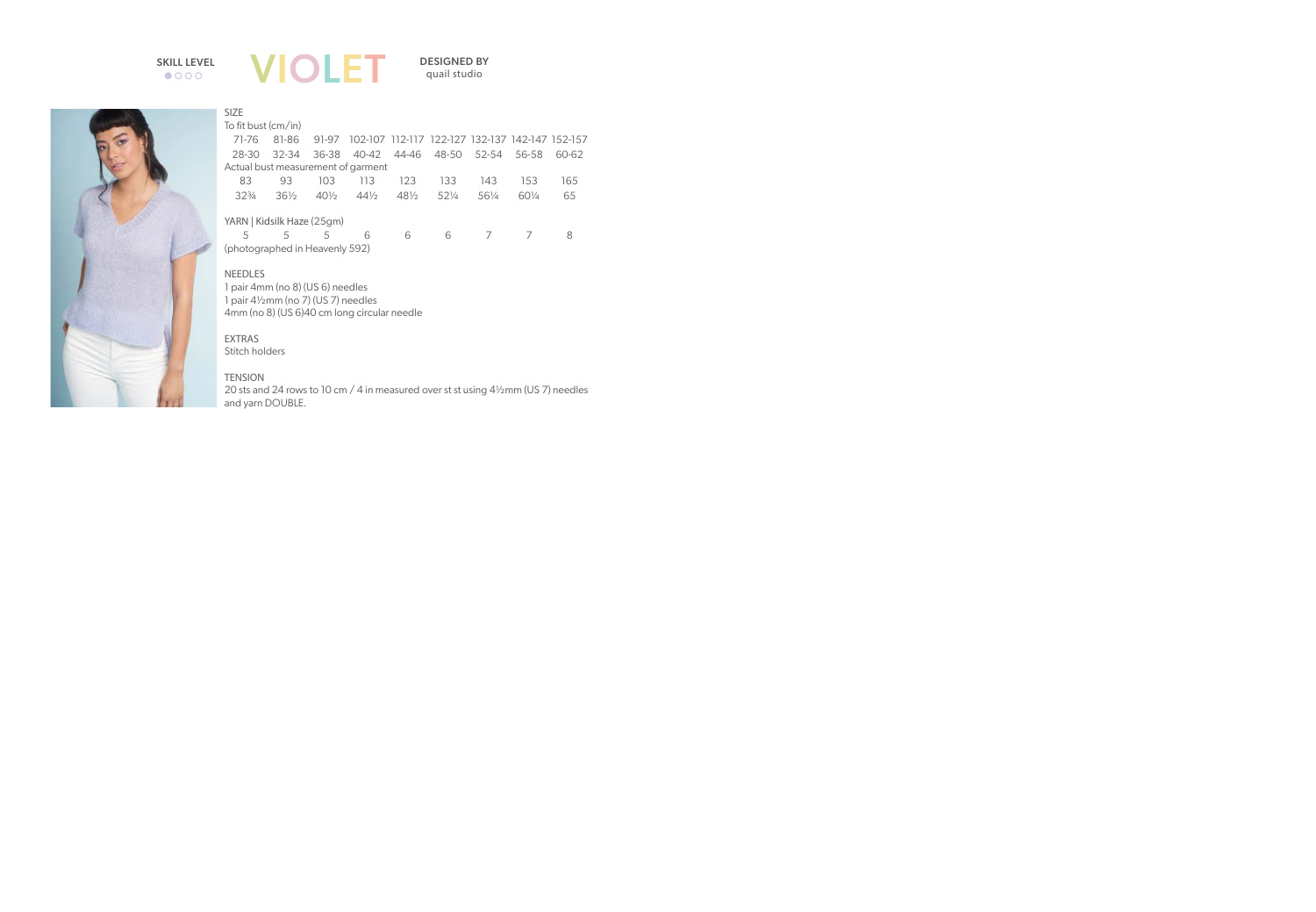

quail studio



| <b>SIZE</b>                 |     |
|-----------------------------|-----|
| To fit bust (cm/in)         |     |
| 71 7 <i>C</i> 01 0 <i>C</i> | n 1 |

|                                    |                                |        | 71-76   81-86   91-97   102-107   112-117   122-127   132-137   142-147   152-157 |                 |                 |       |        |       |  |  |  |
|------------------------------------|--------------------------------|--------|-----------------------------------------------------------------------------------|-----------------|-----------------|-------|--------|-------|--|--|--|
| 28-30                              | 32-34                          |        | 36-38 40-42 44-46 48-50 52-54                                                     |                 |                 |       | 56-58  | 60-62 |  |  |  |
| Actual bust measurement of garment |                                |        |                                                                                   |                 |                 |       |        |       |  |  |  |
| 83                                 | 93                             | 103.   | 113                                                                               | 123             | 133             | 143   | 153    | 165   |  |  |  |
| $32\frac{3}{4}$                    | $36\%$                         | $40\%$ | $44\frac{1}{2}$                                                                   | $48\frac{1}{2}$ | $52\frac{1}{4}$ | 561/4 | $60\%$ | 65    |  |  |  |
| YARN   Kidsilk Haze (25gm)         |                                |        |                                                                                   |                 |                 |       |        |       |  |  |  |
| 5                                  | 5                              | 5      | 6                                                                                 | 6               | 6               |       |        |       |  |  |  |
|                                    | (photographed in Heavenly 592) |        |                                                                                   |                 |                 |       |        |       |  |  |  |

**NEEDLES** 

1 pair 4mm (no 8) (US 6) needles 1 pair 4½mm (no 7) (US 7) needles 4mm (no 8) (US 6)40 cm long circular needle

EXTRAS Stitch holders

#### **TENSION**

20 sts and 24 rows to 10 cm / 4 in measured over st st using 4½mm (US 7) needles and yarn DOUBLE.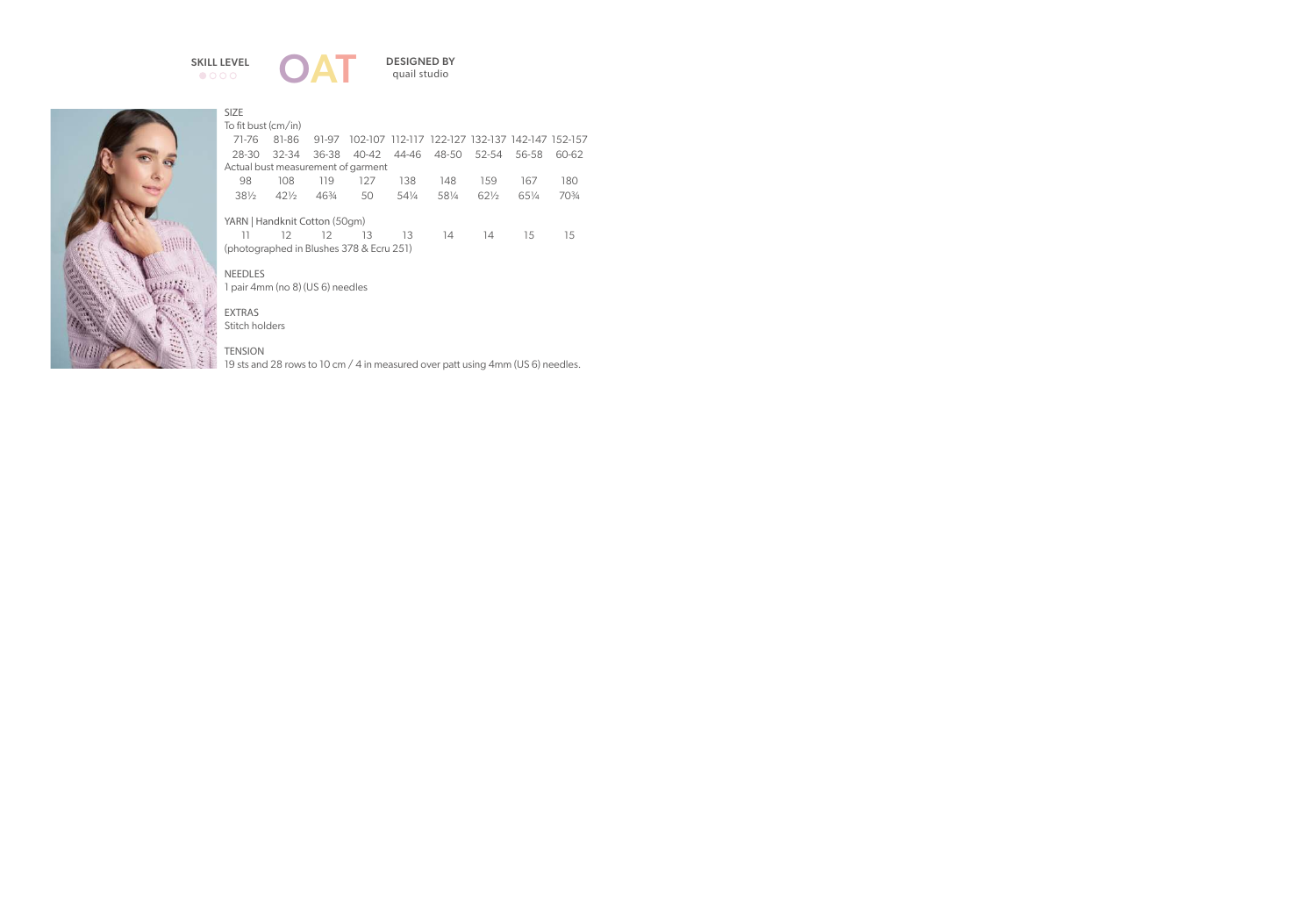### $\bullet$ 000





| <b>SIZE</b>                              |                                  |                 |                         |       |                                                 |                 |       |                 |  |
|------------------------------------------|----------------------------------|-----------------|-------------------------|-------|-------------------------------------------------|-----------------|-------|-----------------|--|
| To fit bust (cm/in)                      |                                  |                 |                         |       |                                                 |                 |       |                 |  |
| 71-76                                    | 81-86                            | 91-97           |                         |       | 102-107 112-117 122-127 132-137 142-147 152-157 |                 |       |                 |  |
| 28-30                                    |                                  | $32-34$ $36-38$ | 40-42 44-46 48-50 52-54 |       |                                                 |                 | 56-58 | 60-62           |  |
| Actual bust measurement of garment       |                                  |                 |                         |       |                                                 |                 |       |                 |  |
| 98                                       | 108                              | 119             | 127                     | 138   | 148                                             | 159             | 167   | 180             |  |
| $38\frac{1}{2}$                          | 42½46¾                           |                 | 50                      | 541⁄4 | 581/4                                           | $62\frac{1}{2}$ | 651/4 | $70\frac{3}{4}$ |  |
| YARN   Handknit Cotton (50gm)            |                                  |                 |                         |       |                                                 |                 |       |                 |  |
| 11                                       | 12 <sup>7</sup>                  | 12              | 13                      | 13    | 14                                              | 14              | 15    | 15              |  |
| (photographed in Blushes 378 & Ecru 251) |                                  |                 |                         |       |                                                 |                 |       |                 |  |
|                                          |                                  |                 |                         |       |                                                 |                 |       |                 |  |
| <b>NEEDLES</b>                           |                                  |                 |                         |       |                                                 |                 |       |                 |  |
|                                          | 1 pair 4mm (no 8) (US 6) needles |                 |                         |       |                                                 |                 |       |                 |  |
|                                          |                                  |                 |                         |       |                                                 |                 |       |                 |  |

### EXTRAS

Stitch holders

#### **TENSION**

19 sts and 28 rows to 10 cm / 4 in measured over patt using 4mm (US 6) needles.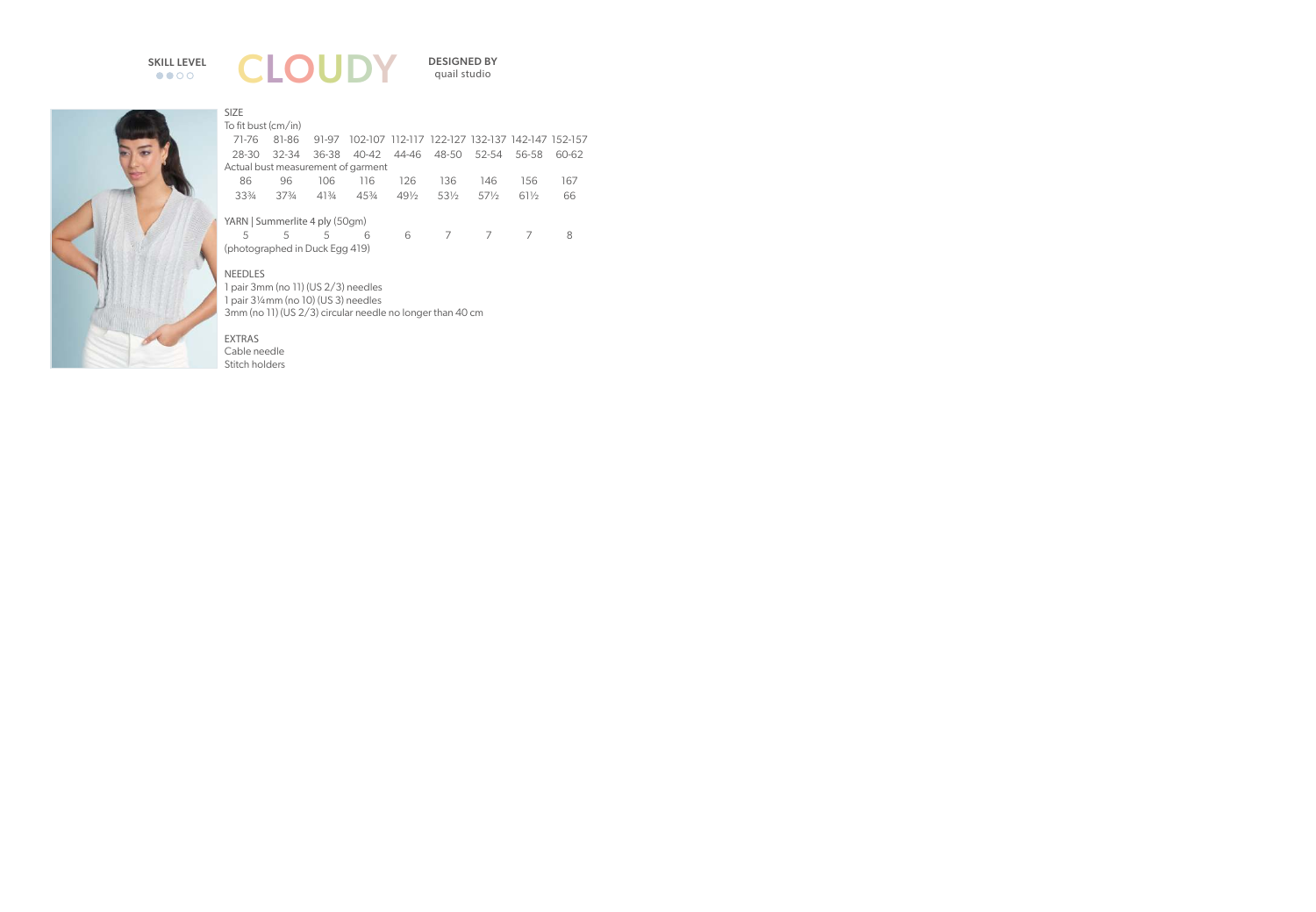# $\bullet \bullet$ **OO**



quail studio



### SIZE

To fit bust (cm/in)

| 71-76                          | 81-86           |               | 91-97 102-107 112-117 122-127 132-137 142-147 152-157 |     |     |        |       |       |
|--------------------------------|-----------------|---------------|-------------------------------------------------------|-----|-----|--------|-------|-------|
| 28-30                          |                 |               | 32-34 36-38 40-42 44-46 48-50 52-54                   |     |     |        | 56-58 | 60-62 |
|                                |                 |               | Actual bust measurement of garment                    |     |     |        |       |       |
| 86                             | 96.             | 106           | 116                                                   | 126 | 136 | 146    | 156   | 167   |
| $33\frac{3}{4}$                | $37\frac{3}{4}$ | 413⁄4         | 453⁄4 491⁄2 531⁄2                                     |     |     | $57\%$ | 611/2 | 66    |
|                                |                 |               |                                                       |     |     |        |       |       |
| YARN   Summerlite 4 ply (50gm) |                 |               |                                                       |     |     |        |       |       |
| 5                              | C.              | $\mathcal{L}$ | 6                                                     | 6   |     |        |       |       |

(photographed in Duck Egg 419)

#### NEEDLES

1 pair 3mm (no 11) (US 2/3) needles 1 pair 3¼mm (no 10) (US 3) needles 3mm (no 11) (US 2/3) circular needle no longer than 40 cm

#### EXTRAS

Cable needle Stitch holders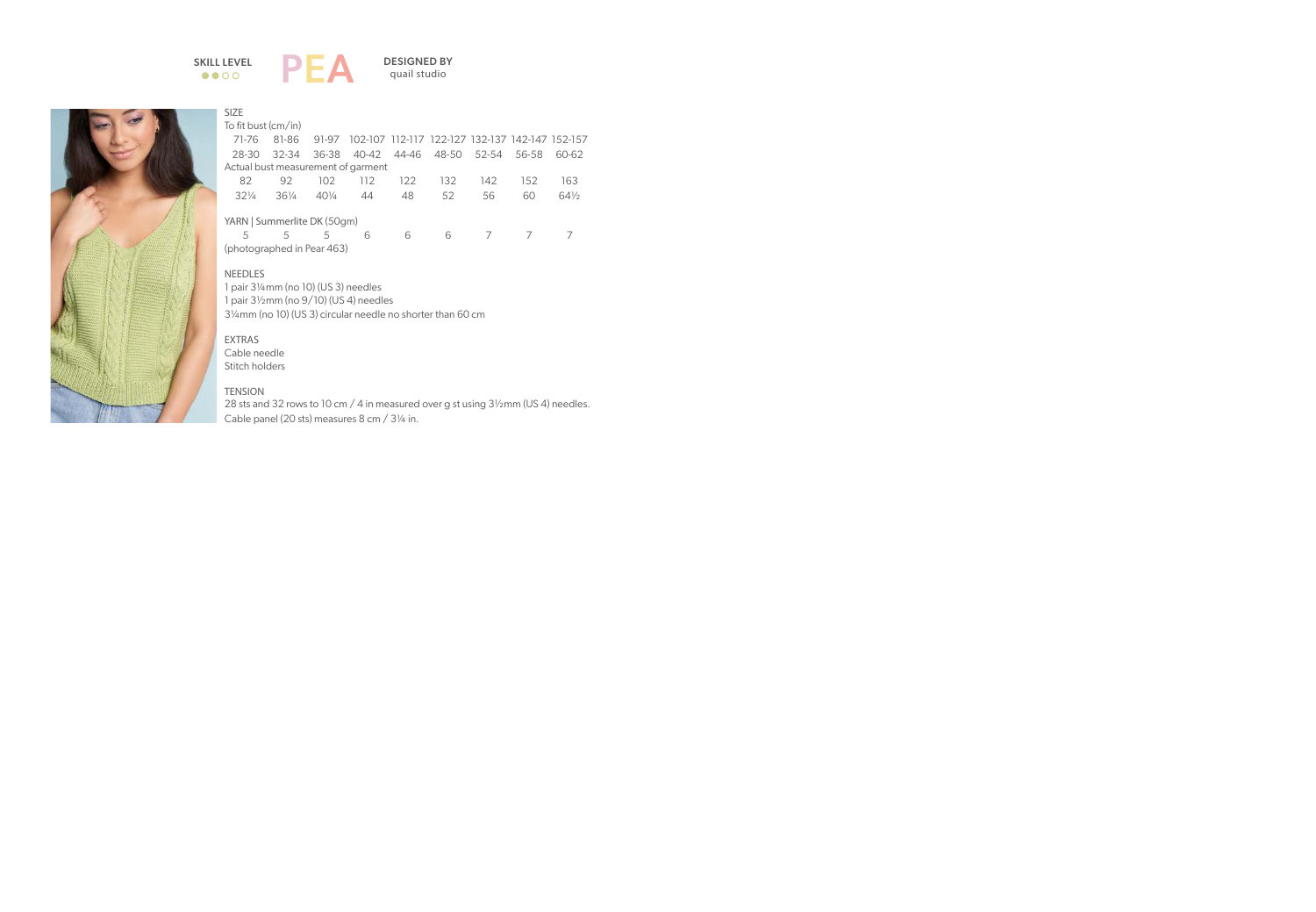





#### SIZE

To fit bust (cm/in)

| 71-76                              |                            |     | 81-86 91-97 102-107 112-117 122-127 132-137 142-147 152-157 |      |      |                |                |        |  |  |  |
|------------------------------------|----------------------------|-----|-------------------------------------------------------------|------|------|----------------|----------------|--------|--|--|--|
| 28-30                              |                            |     | 32-34 36-38 40-42 44-46 48-50 52-54 56-58                   |      |      |                |                | 60-62  |  |  |  |
| Actual bust measurement of garment |                            |     |                                                             |      |      |                |                |        |  |  |  |
| 82                                 | 92.                        | 102 | 112                                                         | 122. | 132. | 142            | 152            | 163    |  |  |  |
| $32\frac{1}{4}$                    | $36\%$                     | 40¼ | 44                                                          | 48   | 52   | 56             | 60             | $64\%$ |  |  |  |
| YARN   Summerlite DK (50gm)        |                            |     |                                                             |      |      |                |                |        |  |  |  |
| 5                                  | 5                          | 5   | 6                                                           | 6    | 6    | $\overline{7}$ | $\overline{7}$ |        |  |  |  |
|                                    | (photographed in Pear 463) |     |                                                             |      |      |                |                |        |  |  |  |

NEEDLES

1 pair 3¼mm (no 10) (US 3) needles 1 pair 3½mm (no 9/10) (US 4) needles 3¼mm (no 10) (US 3) circular needle no shorter than 60 cm

EXTRAS Cable needle Stitch holders

**TENSION** 28 sts and 32 rows to 10 cm / 4 in measured over g st using 3½mm (US 4) needles. Cable panel (20 sts) measures 8 cm / 3¼ in.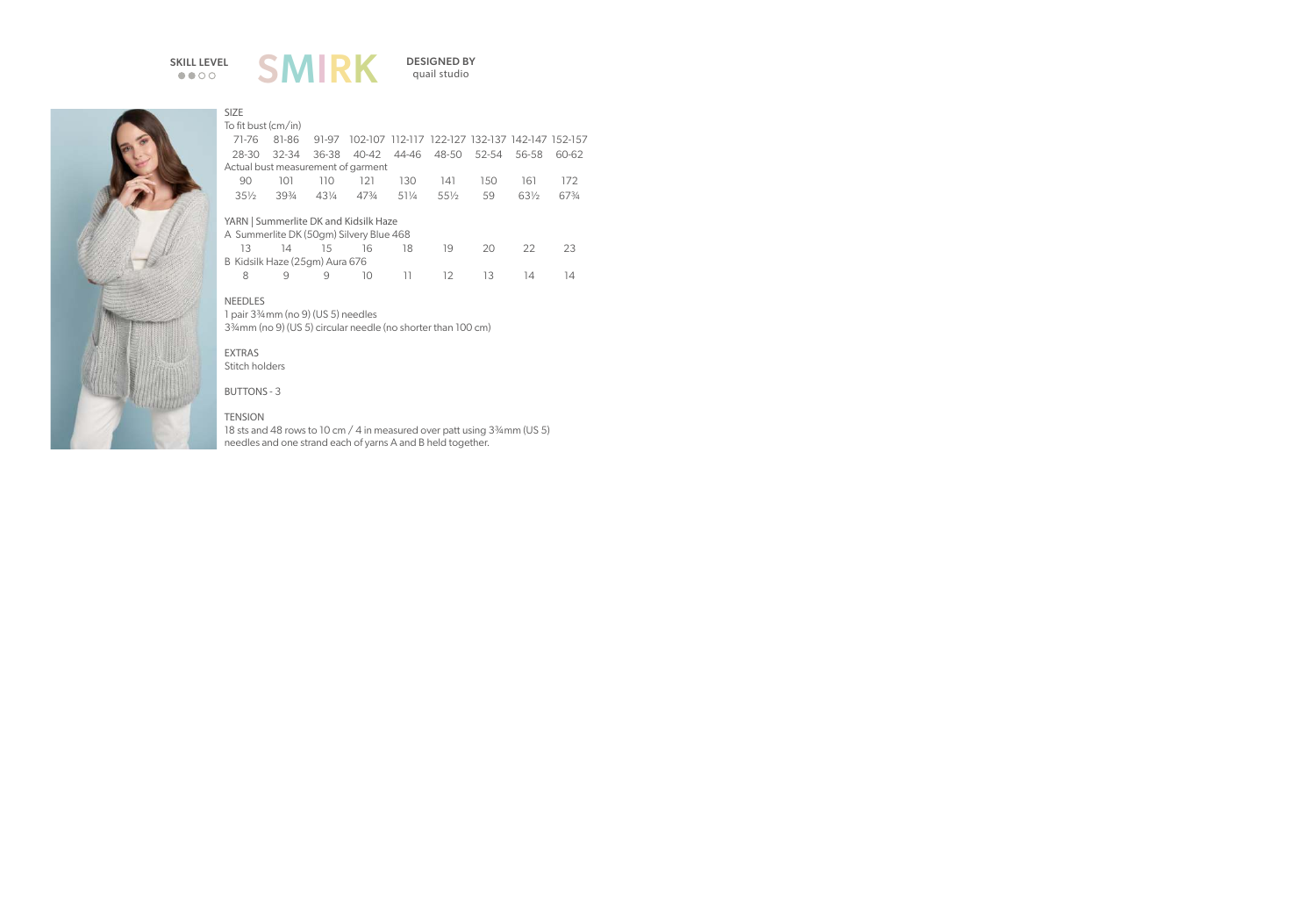$\bullet\bullet\circ\circ$ 



quail studio



#### SIZE

To fit bust (cm/in)

|  | 71-76 81-86 91-97 102-107 112-117 122-127 132-137 142-147 152-157                                                                     |  |  |  |
|--|---------------------------------------------------------------------------------------------------------------------------------------|--|--|--|
|  | 28-30 32-34 36-38 40-42 44-46 48-50 52-54 56-58 60-62                                                                                 |  |  |  |
|  | Actual bust measurement of garment                                                                                                    |  |  |  |
|  | 90 101 110 121 130 141 150 161 172                                                                                                    |  |  |  |
|  | 351/ <sub>2</sub> 3934 431/ <sub>4</sub> 473/ <sub>4</sub> 511/ <sub>4</sub> 551/ <sub>2</sub> 59 631/ <sub>2</sub> 673/ <sub>4</sub> |  |  |  |
|  |                                                                                                                                       |  |  |  |

#### YARN | Summerlite DK and Kidsilk Haze

| A Summerlite DK (50gm) Silvery Blue 468 |        |             |                   |     |     |     |  |
|-----------------------------------------|--------|-------------|-------------------|-----|-----|-----|--|
| 13 14 15 16                             |        |             |                   | 18. | 19. | 20. |  |
| B Kidsilk Haze (25gm) Aura 676          |        |             |                   |     |     |     |  |
| 8                                       | $\Box$ | $\mathsf Q$ | $\vert \vert$ ( ) |     | 12. | -13 |  |

#### NEEDLES

1 pair 3¾mm (no 9) (US 5) needles 3¾mm (no 9) (US 5) circular needle (no shorter than 100 cm)

#### EXTRAS Stitch holders

BUTTONS - 3

#### **TENSION**

18 sts and 48 rows to 10 cm / 4 in measured over patt using 3<sup>3</sup>/4mm (US 5) needles and one strand each of yarns A and B held together.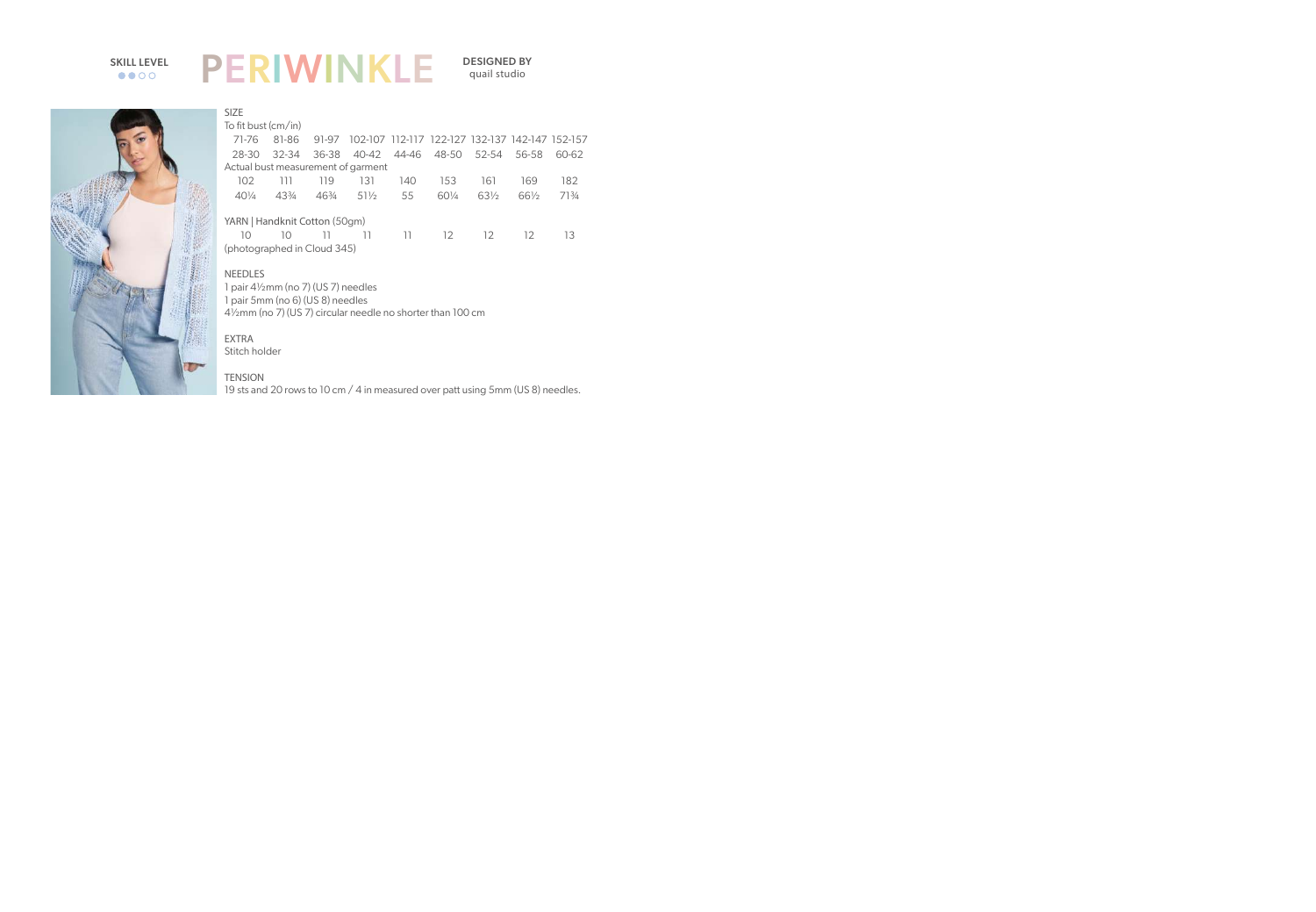### PERIWINKLE SKILL LEVEL **DEDIMA/INIZIE** DESIGNED BY  $\bullet\bullet\circ\circ$

quail studio



| To fit bust (cm/in) |       |       |                                                                                |                                    |                 |                         |                                                 |
|---------------------|-------|-------|--------------------------------------------------------------------------------|------------------------------------|-----------------|-------------------------|-------------------------------------------------|
| 81-86               |       |       |                                                                                |                                    |                 |                         |                                                 |
| 32-34               |       |       |                                                                                |                                    |                 | 56-58                   | 60-62                                           |
|                     |       |       |                                                                                |                                    |                 |                         |                                                 |
| 111                 | 119   | 131   | 140                                                                            | 153                                | 161             | 169                     | 182                                             |
| $4.3\%$             | 463⁄4 | 511/2 | 55                                                                             | 601/4                              | $63\frac{1}{2}$ | 661/2                   | 713/4                                           |
|                     |       |       |                                                                                |                                    |                 |                         |                                                 |
| 10                  | 11    | 11    | -11                                                                            | 12 <sup>°</sup>                    | 12              | 12                      | 13                                              |
|                     |       |       | 91-97<br>36-38<br>YARN   Handknit Cotton (50gm)<br>(photographed in Cloud 345) | Actual bust measurement of garment |                 | 40-42 44-46 48-50 52-54 | 102-107 112-117 122-127 132-137 142-147 152-157 |

#### **NEEDLES**

1 pair 4½mm (no 7) (US 7) needles 1 pair 5mm (no 6) (US 8) needles 4½mm (no 7) (US 7) circular needle no shorter than 100 cm

#### EXTRA

Stitch holder

#### **TENSION**

19 sts and 20 rows to 10 cm / 4 in measured over patt using 5mm (US 8) needles.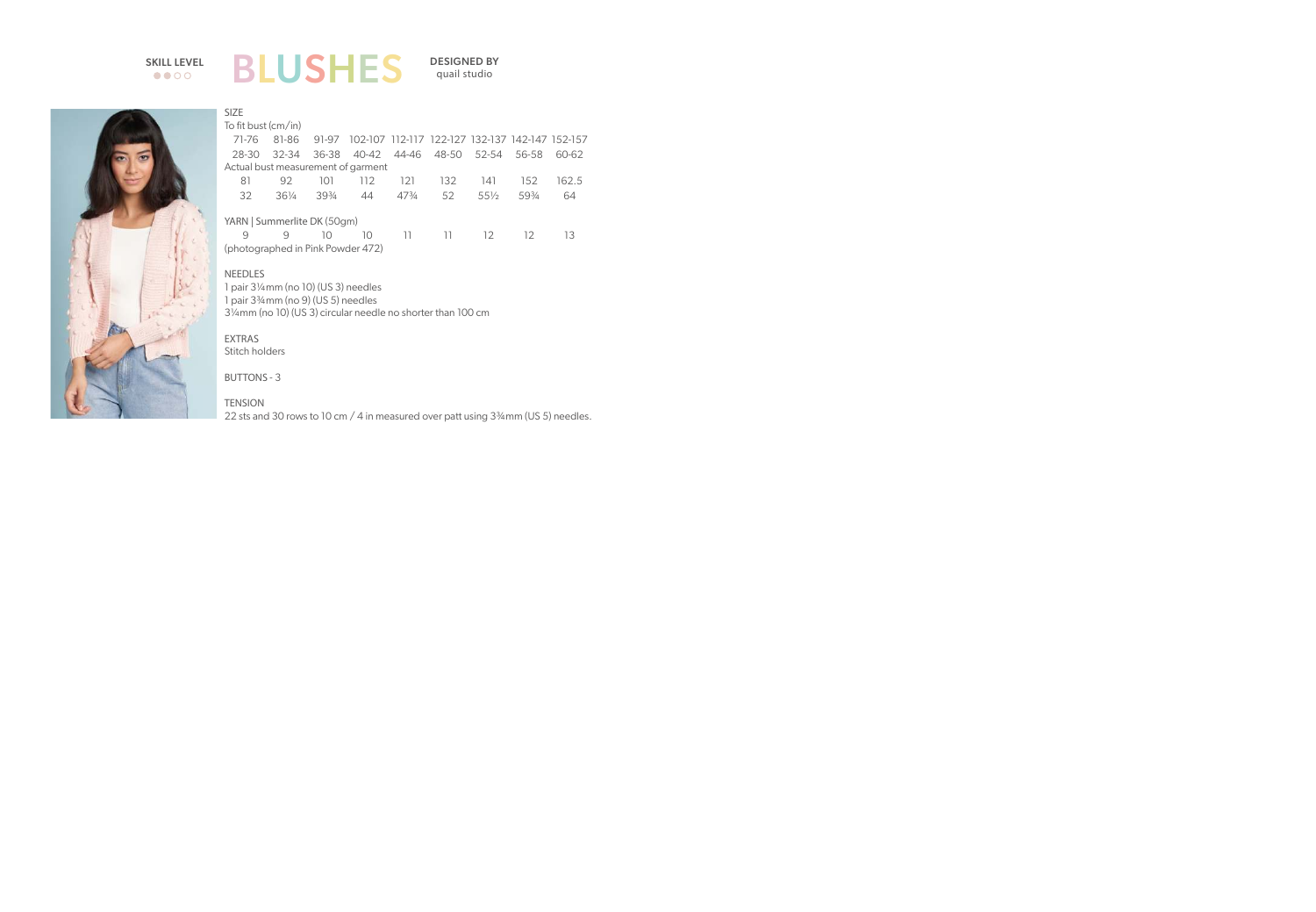# $\bullet\bullet\circ\circ$

### BLUSHES SKILL LEVEL DESIGNED BY

quail studio



|                                    | To fit bust (cm/in)               |                 |       |                 |                                                 |        |       |       |  |
|------------------------------------|-----------------------------------|-----------------|-------|-----------------|-------------------------------------------------|--------|-------|-------|--|
| 71-76                              | 81-86                             | 91-97           |       |                 | 102-107 112-117 122-127 132-137 142-147 152-157 |        |       |       |  |
| 28-30                              | 32-34                             | 36-38           | 40-42 | 44-46           | 48-50 52-54                                     |        | 56-58 | 60-62 |  |
| Actual bust measurement of garment |                                   |                 |       |                 |                                                 |        |       |       |  |
| 81                                 | 92                                | 101             | 112   | 121             | 132                                             | 141    | 152   | 162.5 |  |
| 32                                 | $36\%$                            | $39\frac{3}{4}$ | 44    | $47\frac{3}{4}$ | 52                                              | $55\%$ | 593/4 | 64    |  |
| YARN   Summerlite DK (50gm)        |                                   |                 |       |                 |                                                 |        |       |       |  |
| q                                  | q                                 | 10              | 10    | -11             | -11                                             | 12     | 12    | 13    |  |
|                                    | (photographed in Pink Powder 472) |                 |       |                 |                                                 |        |       |       |  |
|                                    |                                   |                 |       |                 |                                                 |        |       |       |  |

NEEDLES 1 pair 3¼mm (no 10) (US 3) needles 1 pair 3¾mm (no 9) (US 5) needles 3¼mm (no 10) (US 3) circular needle no shorter than 100 cm

EXTRAS Stitch holders

SIZE

BUTTONS - 3

**TENSION** 22 sts and 30 rows to 10 cm / 4 in measured over patt using 3<sup>3</sup>/4 mm (US 5) needles.